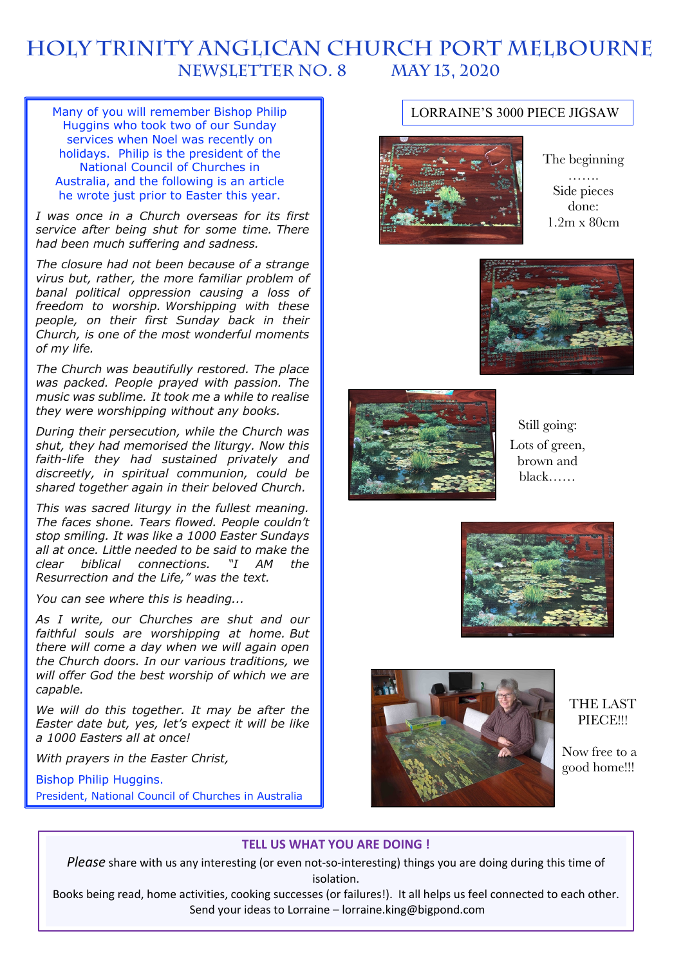# **HOLY TRINITY Anglican church PORT MELBOURNE NEWSLETTER No. 8 May 13, 2020**

Many of you will remember Bishop Philip Huggins who took two of our Sunday services when Noel was recently on holidays. Philip is the president of the National Council of Churches in Australia, and the following is an article he wrote just prior to Easter this year.

*I was once in a Church overseas for its first service after being shut for some time. There had been much suffering and sadness.*

*The closure had not been because of a strange virus but, rather, the more familiar problem of banal political oppression causing a loss of freedom to worship. Worshipping with these people, on their first Sunday back in their Church, is one of the most wonderful moments of my life.*

*The Church was beautifully restored. The place was packed. People prayed with passion. The music was sublime. It took me a while to realise they were worshipping without any books.*

*During their persecution, while the Church was shut, they had memorised the liturgy. Now this faith-life they had sustained privately and discreetly, in spiritual communion, could be shared together again in their beloved Church.*

*This was sacred liturgy in the fullest meaning. The faces shone. Tears flowed. People couldn't stop smiling. It was like a 1000 Easter Sundays all at once. Little needed to be said to make the clear biblical connections. "I AM the Resurrection and the Life," was the text.*

*You can see where this is heading...*

*As I write, our Churches are shut and our faithful souls are worshipping at home. But there will come a day when we will again open the Church doors. In our various traditions, we will offer God the best worship of which we are capable.*

*We will do this together. It may be after the Easter date but, yes, let's expect it will be like a 1000 Easters all at once!*

*With prayers in the Easter Christ,*

Bishop Philip Huggins. President, National Council of Churches in Australia

# LORRAINE'S 3000 PIECE JIGSAW



The beginning …… Side pieces done: 1.2m x 80cm





Still going: Lots of green, brown and black……





# THE LAST PIECE!!!

Now free to a good home!!!

# **TELL US WHAT YOU ARE DOING !**

*Please* share with us any interesting (or even not-so-interesting) things you are doing during this time of isolation.

Books being read, home activities, cooking successes (or failures!). It all helps us feel connected to each other. Send your ideas to Lorraine – lorraine.king@bigpond.com